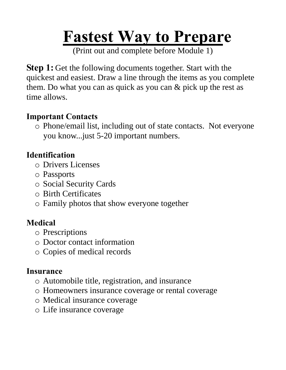# **Fastest Way to Prepare**

(Print out and complete before Module 1)

**Step 1:** Get the following documents together. Start with the quickest and easiest. Draw a line through the items as you complete them. Do what you can as quick as you can & pick up the rest as time allows.

#### **Important Contacts**

o Phone/email list, including out of state contacts. Not everyone you know...just 5-20 important numbers.

## **Identification**

- o Drivers Licenses
- o Passports
- o Social Security Cards
- o Birth Certificates
- o Family photos that show everyone together

# **Medical**

- o Prescriptions
- o Doctor contact information
- o Copies of medical records

#### **Insurance**

- o Automobile title, registration, and insurance
- o Homeowners insurance coverage or rental coverage
- o Medical insurance coverage
- o Life insurance coverage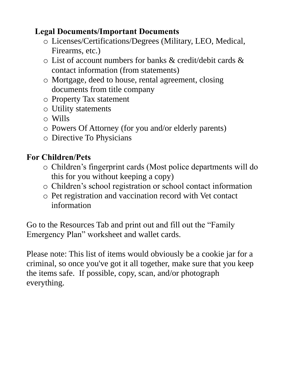### **Legal Documents/Important Documents**

- o Licenses/Certifications/Degrees (Military, LEO, Medical, Firearms, etc.)
- o List of account numbers for banks & credit/debit cards & contact information (from statements)
- o Mortgage, deed to house, rental agreement, closing documents from title company
- o Property Tax statement
- o Utility statements
- o Wills
- o Powers Of Attorney (for you and/or elderly parents)
- o Directive To Physicians

# **For Children/Pets**

- o Children's fingerprint cards (Most police departments will do this for you without keeping a copy)
- o Children's school registration or school contact information
- o Pet registration and vaccination record with Vet contact information

Go to the Resources Tab and print out and fill out the "Family Emergency Plan" worksheet and wallet cards.

Please note: This list of items would obviously be a cookie jar for a criminal, so once you've got it all together, make sure that you keep the items safe. If possible, copy, scan, and/or photograph everything.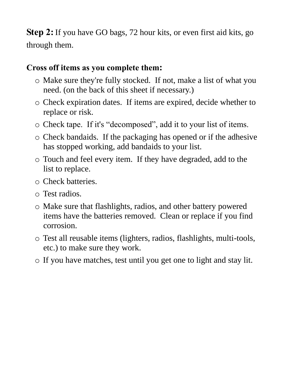**Step 2:** If you have GO bags, 72 hour kits, or even first aid kits, go through them.

#### **Cross off items as you complete them:**

- o Make sure they're fully stocked. If not, make a list of what you need. (on the back of this sheet if necessary.)
- o Check expiration dates. If items are expired, decide whether to replace or risk.
- o Check tape. If it's "decomposed", add it to your list of items.
- o Check bandaids. If the packaging has opened or if the adhesive has stopped working, add bandaids to your list.
- o Touch and feel every item. If they have degraded, add to the list to replace.
- o Check batteries.
- o Test radios.
- o Make sure that flashlights, radios, and other battery powered items have the batteries removed. Clean or replace if you find corrosion.
- o Test all reusable items (lighters, radios, flashlights, multi-tools, etc.) to make sure they work.
- o If you have matches, test until you get one to light and stay lit.